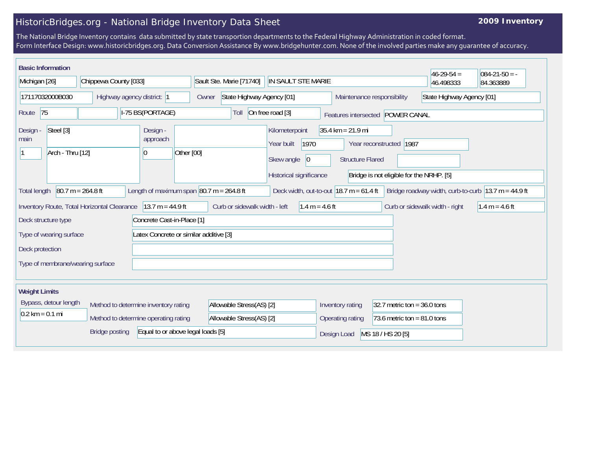## HistoricBridges.org - National Bridge Inventory Data Sheet

## **2009 Inventory**

The National Bridge Inventory contains data submitted by state transportion departments to the Federal Highway Administration in coded format. Form Interface Design: www.historicbridges.org. Data Conversion Assistance By www.bridgehunter.com. None of the involved parties make any guarantee of accuracy.

| <b>Basic Information</b>                                                                                                                                                                                                                           |                       |                                                   |                                                         |                                                                                      |                                                                |                                                                       | $46 - 29 - 54 =$              | $084 - 21 - 50 = -$ |
|----------------------------------------------------------------------------------------------------------------------------------------------------------------------------------------------------------------------------------------------------|-----------------------|---------------------------------------------------|---------------------------------------------------------|--------------------------------------------------------------------------------------|----------------------------------------------------------------|-----------------------------------------------------------------------|-------------------------------|---------------------|
| Michigan [26]                                                                                                                                                                                                                                      | Chippewa County [033] |                                                   | Sault Ste. Marie [71740]                                | IN SAULT STE MARIE                                                                   |                                                                |                                                                       | 46.498333                     | 84.363889           |
| 17117032000B030<br>Highway agency district: 1                                                                                                                                                                                                      |                       | Owner                                             | State Highway Agency [01]<br>Maintenance responsibility |                                                                                      |                                                                | State Highway Agency [01]                                             |                               |                     |
| 75<br>I-75 BS(PORTAGE)<br>Route                                                                                                                                                                                                                    |                       |                                                   | Toll                                                    | On free road [3]                                                                     | Features intersected POWER CANAL                               |                                                                       |                               |                     |
| Steel [3]<br>Design -<br>main<br>Arch - Thru [12]                                                                                                                                                                                                  |                       | Design -<br>approach<br>Other [00]<br>10          |                                                         | Kilometerpoint<br>1970<br>Year built<br> 0 <br>Skew angle<br>Historical significance | $35.4 \text{ km} = 21.9 \text{ mi}$<br><b>Structure Flared</b> | Year reconstructed   1987<br>Bridge is not eligible for the NRHP. [5] |                               |                     |
| $80.7 m = 264.8 ft$<br>Length of maximum span $ 80.7 \text{ m} = 264.8 \text{ ft} $<br>Deck width, out-to-out $18.7 \text{ m} = 61.4 \text{ ft}$<br>Bridge roadway width, curb-to-curb $ 13.7 \text{ m} = 44.9 \text{ ft} $<br><b>Total length</b> |                       |                                                   |                                                         |                                                                                      |                                                                |                                                                       |                               |                     |
| $13.7 m = 44.9 ft$<br>Inventory Route, Total Horizontal Clearance                                                                                                                                                                                  |                       | Curb or sidewalk width - left<br>$1.4 m = 4.6 ft$ |                                                         |                                                                                      | Curb or sidewalk width - right                                 | $1.4 m = 4.6 ft$                                                      |                               |                     |
| Concrete Cast-in-Place [1]<br>Deck structure type                                                                                                                                                                                                  |                       |                                                   |                                                         |                                                                                      |                                                                |                                                                       |                               |                     |
| Latex Concrete or similar additive [3]<br>Type of wearing surface                                                                                                                                                                                  |                       |                                                   |                                                         |                                                                                      |                                                                |                                                                       |                               |                     |
| Deck protection                                                                                                                                                                                                                                    |                       |                                                   |                                                         |                                                                                      |                                                                |                                                                       |                               |                     |
| Type of membrane/wearing surface                                                                                                                                                                                                                   |                       |                                                   |                                                         |                                                                                      |                                                                |                                                                       |                               |                     |
| <b>Weight Limits</b>                                                                                                                                                                                                                               |                       |                                                   |                                                         |                                                                                      |                                                                |                                                                       |                               |                     |
| Bypass, detour length<br>Method to determine inventory rating                                                                                                                                                                                      |                       |                                                   | Allowable Stress(AS) [2]                                |                                                                                      | Inventory rating                                               |                                                                       | 32.7 metric ton = $36.0$ tons |                     |
| $0.2 \text{ km} = 0.1 \text{ mi}$                                                                                                                                                                                                                  |                       | Method to determine operating rating              | Allowable Stress(AS) [2]                                |                                                                                      | Operating rating                                               | 73.6 metric ton = $81.0$ tons                                         |                               |                     |
| <b>Bridge posting</b><br>Equal to or above legal loads [5]                                                                                                                                                                                         |                       |                                                   |                                                         |                                                                                      | Design Load                                                    | MS 18 / HS 20 [5]                                                     |                               |                     |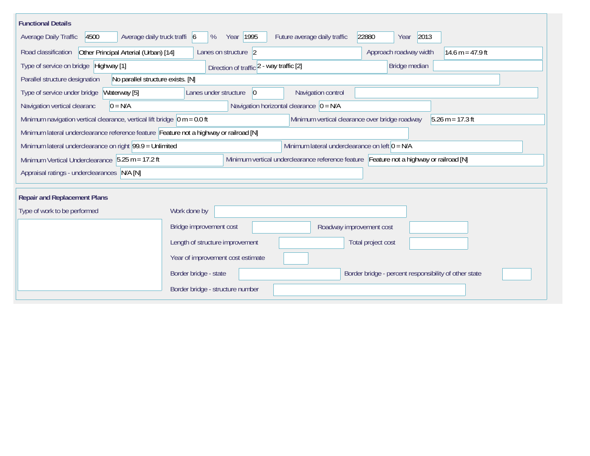| <b>Functional Details</b>                                                                                                                   |                                                                                                                                                                          |                                             |                                                       |                    |  |  |
|---------------------------------------------------------------------------------------------------------------------------------------------|--------------------------------------------------------------------------------------------------------------------------------------------------------------------------|---------------------------------------------|-------------------------------------------------------|--------------------|--|--|
| 4500<br>Average daily truck traffi 6<br><b>Average Daily Traffic</b>                                                                        | Year 1995<br>%                                                                                                                                                           | Future average daily traffic                | 2013<br>22880<br>Year                                 |                    |  |  |
| Road classification<br>Other Principal Arterial (Urban) [14]                                                                                | Lanes on structure 2                                                                                                                                                     |                                             | Approach roadway width                                | 14.6 m = $47.9$ ft |  |  |
| Type of service on bridge Highway [1]                                                                                                       | Direction of traffic 2 - way traffic [2]                                                                                                                                 |                                             | Bridge median                                         |                    |  |  |
| Parallel structure designation<br>No parallel structure exists. [N]                                                                         |                                                                                                                                                                          |                                             |                                                       |                    |  |  |
| Type of service under bridge<br>Waterway [5]                                                                                                | Lanes under structure<br>$ 0\rangle$                                                                                                                                     | Navigation control                          |                                                       |                    |  |  |
| Navigation vertical clearanc<br>$0 = N/A$                                                                                                   |                                                                                                                                                                          | Navigation horizontal clearance $ 0 = N/A $ |                                                       |                    |  |  |
|                                                                                                                                             | Minimum navigation vertical clearance, vertical lift bridge $\vert$ 0 m = 0.0 ft<br>Minimum vertical clearance over bridge roadway<br>$5.26 \text{ m} = 17.3 \text{ ft}$ |                                             |                                                       |                    |  |  |
| Minimum lateral underclearance reference feature Feature not a highway or railroad [N]                                                      |                                                                                                                                                                          |                                             |                                                       |                    |  |  |
| Minimum lateral underclearance on left $0 = N/A$<br>Minimum lateral underclearance on right 99.9 = Unlimited                                |                                                                                                                                                                          |                                             |                                                       |                    |  |  |
| Minimum vertical underclearance reference feature Feature not a highway or railroad [N]<br>Minimum Vertical Underclearance 5.25 m = 17.2 ft |                                                                                                                                                                          |                                             |                                                       |                    |  |  |
| Appraisal ratings - underclearances N/A [N]                                                                                                 |                                                                                                                                                                          |                                             |                                                       |                    |  |  |
|                                                                                                                                             |                                                                                                                                                                          |                                             |                                                       |                    |  |  |
| <b>Repair and Replacement Plans</b>                                                                                                         |                                                                                                                                                                          |                                             |                                                       |                    |  |  |
| Type of work to be performed                                                                                                                | Work done by                                                                                                                                                             |                                             |                                                       |                    |  |  |
|                                                                                                                                             | Bridge improvement cost                                                                                                                                                  | Roadway improvement cost                    |                                                       |                    |  |  |
|                                                                                                                                             | Length of structure improvement                                                                                                                                          |                                             | Total project cost                                    |                    |  |  |
|                                                                                                                                             | Year of improvement cost estimate                                                                                                                                        |                                             |                                                       |                    |  |  |
|                                                                                                                                             | Border bridge - state                                                                                                                                                    |                                             | Border bridge - percent responsibility of other state |                    |  |  |
|                                                                                                                                             | Border bridge - structure number                                                                                                                                         |                                             |                                                       |                    |  |  |